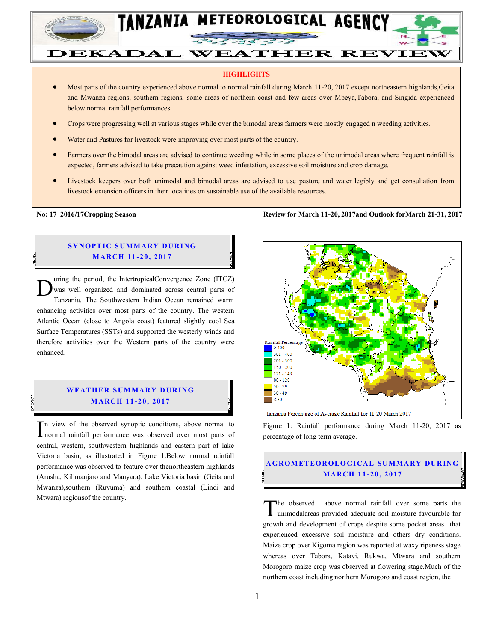

# DEKADAL WEATHER REVIEW

#### **HIGHLIGHTS**

- Most parts of the country experienced above normal to normal rainfall during March 11-20, 2017 except northeastern highlands,Geita and Mwanza regions, southern regions, some areas of northern coast and few areas over Mbeya,Tabora, and Singida experienced below normal rainfall performances.
- Crops were progressing well at various stages while over the bimodal areas farmers were mostly engaged n weeding activities.
- Water and Pastures for livestock were improving over most parts of the country.
- Farmers over the bimodal areas are advised to continue weeding while in some places of the unimodal areas where frequent rainfall is expected, farmers advised to take precaution against weed infestation, excessive soil moisture and crop damage.
- Livestock keepers over both unimodal and bimodal areas are advised to use pasture and water legibly and get consultation from livestock extension officers in their localities on sustainable use of the available resources.

#### **SYNOPTIC SUMMARY DURING M ARCH 11 -20 , 2017**

uring the period, the IntertropicalConvergence Zone (ITCZ) was well organized and dominated across central parts of Tanzania. The Southwestern Indian Ocean remained warm enhancing activities over most parts of the country. The western Atlantic Ocean (close to Angola coast) featured slightly cool Sea Surface Temperatures (SSTs) and supported the westerly winds and therefore activities over the Western parts of the country were enhanced. D

### **W EATH ER SUM MARY D UR ING M ARCH 11 -20 , 2017**

n view of the observed synoptic conditions, above normal to In view of the observed synoptic conditions, above normal to normal rainfall performance was observed over most parts of central, western, southwestern highlands and eastern part of lake Victoria basin, as illustrated in Figure 1.Below normal rainfall performance was observed to feature over thenortheastern highlands (Arusha, Kilimanjaro and Manyara), Lake Victoria basin (Geita and Mwanza),southern (Ruvuma) and southern coastal (Lindi and Mtwara) regionsof the country.

**No: 17 2016/17Cropping Season Review for March 11-20, 2017and Outlook forMarch 21-31, 2017**



Figure 1: Rainfall performance during March 11-20, 2017 as percentage of long term average.

## **A GROM ETEOR OLO GICAL SU MMA RY DUR IN G M ARCH 11 -20 , 2017**

he observed above normal rainfall over some parts the unimodalareas provided adequate soil moisture favourable for The observed above normal rainfall over some parts the unimodalareas provided adequate soil moisture favourable for growth and development of crops despite some pocket areas that experienced excessive soil moisture and others dry conditions. Maize crop over Kigoma region was reported at waxy ripeness stage whereas over Tabora, Katavi, Rukwa, Mtwara and southern Morogoro maize crop was observed at flowering stage.Much of the northern coast including northern Morogoro and coast region, the